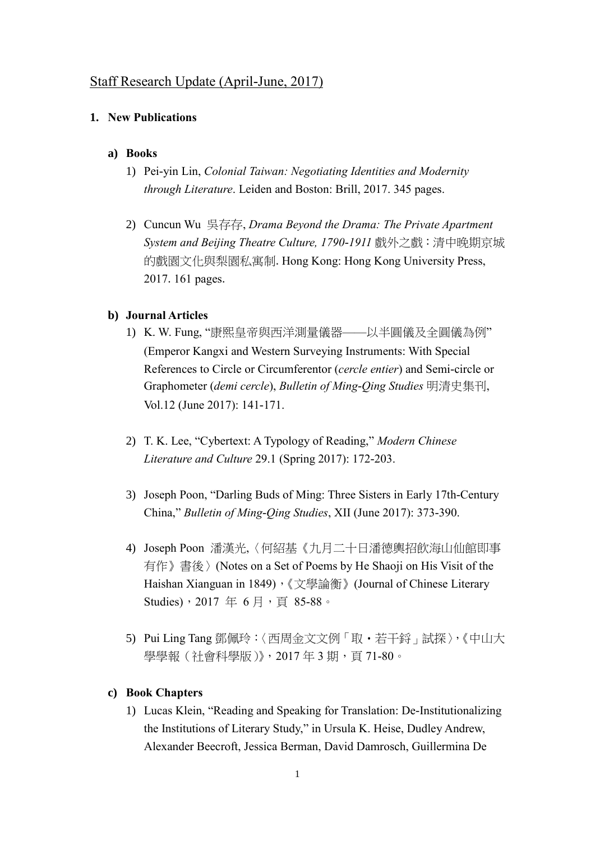# Staff Research Update (April-June, 2017)

### **1. New Publications**

### **a) Books**

- 1) Pei-yin Lin, *Colonial Taiwan: Negotiating Identities and Modernity through Literature*. Leiden and Boston: Brill, 2017. 345 pages.
- 2) Cuncun Wu 吳存存, *Drama Beyond the Drama: The Private Apartment System and Beijing Theatre Culture, 1790-1911* 戲外之戲:清中晚期京城 的戲園文化與梨園私寓制.Hong Kong: Hong Kong University Press, 2017.161 pages.

#### **b) Journal Articles**

- 1) K. W. Fung, "康熙皇帝與西洋測量儀器——以半圓儀及全圓儀為例" (Emperor Kangxi and Western Surveying Instruments: With Special References to Circle or Circumferentor (*cercle entier*) and Semi-circle or Graphometer (*demi cercle*), *Bulletin of Ming-Qing Studies* 明清史集刊, Vol.12 (June 2017): 141-171.
- 2) T. K. Lee, "Cybertext: A Typology of Reading," *Modern Chinese Literature and Culture* 29.1 (Spring 2017): 172-203.
- 3) Joseph Poon, "Darling Buds of Ming: Three Sisters in Early 17th-Century China," *Bulletin of Ming-Qing Studies*, XII (June 2017): 373-390.
- 4) Joseph Poon 潘漢光,〈何紹基《九月二十日潘德輿招飲海山仙館即事 有作》書後〉(Notes on a Set of Poems by He Shaoji on His Visit of the Haishan Xianguan in 1849), 《文學論衡》(Journal of Chinese Literary Studies), 2017年6月, 頁 85-88。
- 5) Pui Ling Tang 鄧佩玲:〈西周金文文例「取·若干鋝」試探〉,《中山大 學學報(社會科學版)》,2017年3期,頁71-80。

#### **c) Book Chapters**

1) Lucas Klein, "Reading and Speaking for Translation: De-Institutionalizing the Institutions of Literary Study," in Ursula K. Heise, Dudley Andrew, Alexander Beecroft, Jessica Berman, David Damrosch, Guillermina De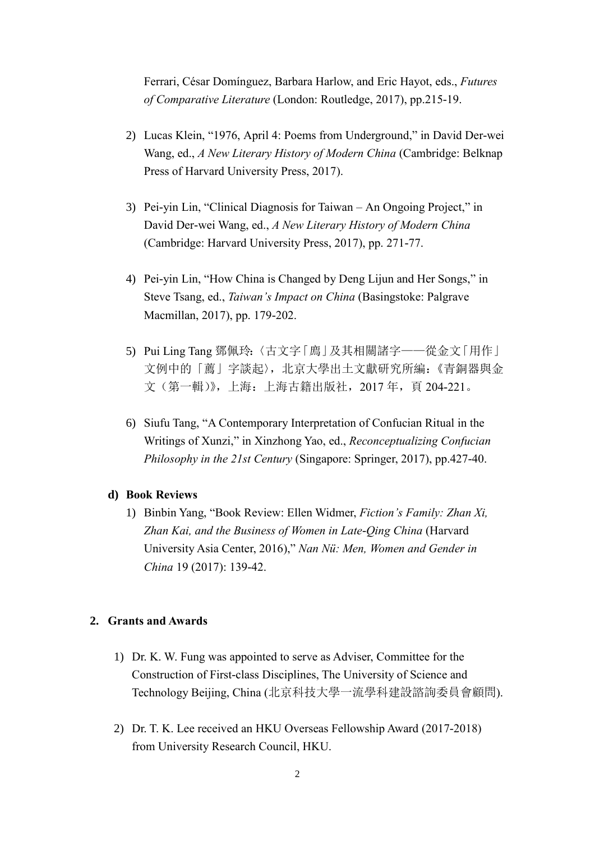Ferrari, César Domínguez, Barbara Harlow, and Eric Hayot, eds., *Futures of Comparative Literature* (London: Routledge, 2017), pp.215-19.

- 2) Lucas Klein, "1976, April 4: Poems from Underground," in David Der-wei Wang, ed., *A New Literary History of Modern China* (Cambridge: Belknap Press of Harvard University Press, 2017).
- 3) Pei-yin Lin, "Clinical Diagnosis for Taiwan An Ongoing Project," in David Der-wei Wang, ed., *A New Literary History of Modern China* (Cambridge: Harvard University Press, 2017), pp. 271-77.
- 4) Pei-yin Lin, "How China is Changed by Deng Lijun and Her Songs," in Steve Tsang, ed., *Taiwan's Impact on China* (Basingstoke: Palgrave Macmillan, 2017), pp. 179-202.
- 5) Pui Ling Tang 鄧佩玲:〈古文字「廌」及其相關諸字——從金文「用作」 文例中的「薦」字談起〉,北京大學出土文獻研究所編:《青銅器與金 文(第一輯)》,上海:上海古籍出版社,2017 年,頁 204-221。
- 6) Siufu Tang, "A Contemporary Interpretation of Confucian Ritual in the Writings of Xunzi," in Xinzhong Yao, ed., *Reconceptualizing Confucian Philosophy in the 21st Century* (Singapore: Springer, 2017), pp.427-40.

## **d) Book Reviews**

1) Binbin Yang, "Book Review: Ellen Widmer, *Fiction's Family: Zhan Xi, Zhan Kai, and the Business of Women in Late-Qing China* (Harvard University Asia Center, 2016)," *Nan Nü: Men, Women and Gender in China* 19 (2017): 139-42.

### **2. Grants and Awards**

- 1) Dr. K. W. Fung was appointed to serve as Adviser, Committee for the Construction of First-class Disciplines, The University of Science and Technology Beijing, China (北京科技大學一流學科建設諮詢委員會顧問).
- 2) Dr. T. K. Lee received an HKU Overseas Fellowship Award (2017-2018) from University Research Council, HKU.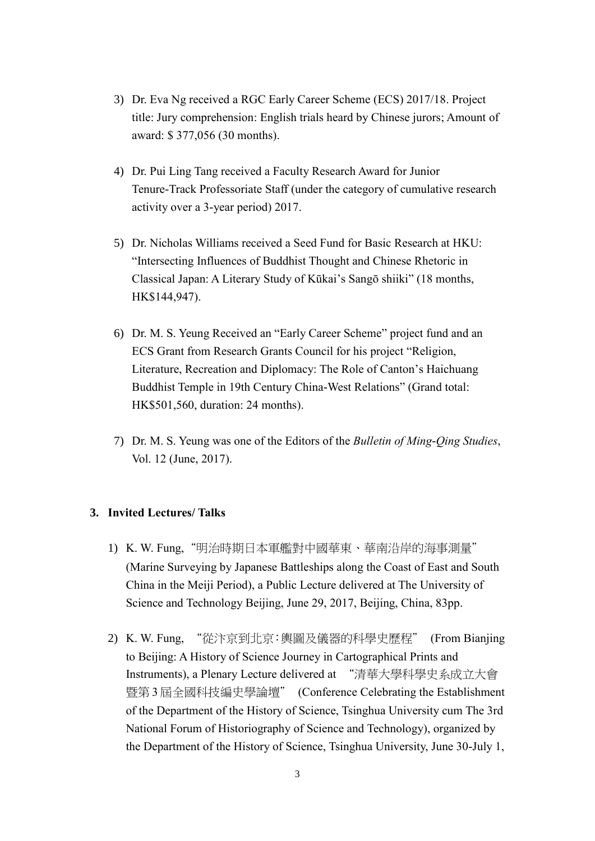- 3) Dr. Eva Ng received a RGC Early Career Scheme (ECS) 2017/18. Project title: Jury comprehension: English trials heard by Chinese jurors; Amount of award: \$ 377,056 (30 months).
- 4) Dr. Pui Ling Tang received a Faculty Research Award for Junior Tenure-Track Professoriate Staff (under the category of cumulative research activity over a 3-year period) 2017.
- 5) Dr. Nicholas Williams received a Seed Fund for Basic Research at HKU: "Intersecting Influences of Buddhist Thought and Chinese Rhetoric in Classical Japan: A Literary Study of Kūkai's Sangō shiiki" (18 months, HK\$144,947).
- 6) Dr. M. S. Yeung Received an "Early Career Scheme" project fund and an ECS Grant from Research Grants Council for his project "Religion, Literature, Recreation and Diplomacy: The Role of Canton's Haichuang Buddhist Temple in 19th Century China-West Relations" (Grand total: HK\$501,560, duration: 24 months).
- 7) Dr. M. S. Yeung was one of the Editors of the *Bulletin of Ming-Qing Studies*, Vol. 12 (June, 2017).

## **3. Invited Lectures/ Talks**

- 1) K. W. Fung,"明治時期日本軍艦對中國華東、華南沿岸的海事測量" (Marine Surveying by Japanese Battleships along the Coast of East and South China in the Meiji Period), a Public Lecture delivered at The University of Science and Technology Beijing, June 29, 2017, Beijing, China, 83pp.
- 2) K. W. Fung, "從汴京到北京:輿圖及儀器的科學史歷程" (From Bianjing to Beijing: A History of Science Journey in Cartographical Prints and Instruments), a Plenary Lecture delivered at "清華大學科學史系成立大會 暨第 3 屆全國科技編史學論壇" (Conference Celebrating the Establishment of the Department of the History of Science, Tsinghua University cum The 3rd National Forum of Historiography of Science and Technology), organized by the Department of the History of Science, Tsinghua University, June 30-July 1,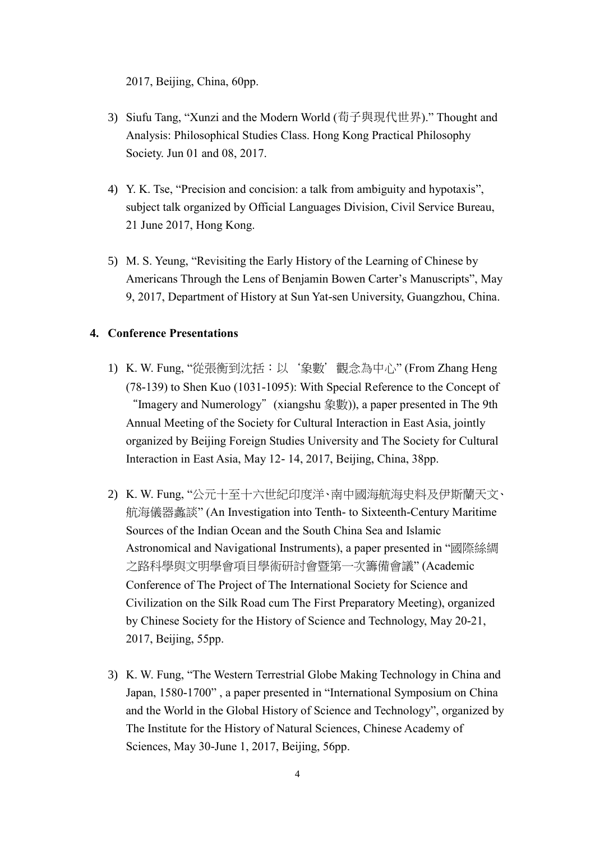2017, Beijing, China, 60pp.

- 3) Siufu Tang, "Xunzi and the Modern World (荀子與現代世界)." Thought and Analysis: Philosophical Studies Class. Hong Kong Practical Philosophy Society. Jun 01 and 08, 2017.
- 4) Y. K. Tse, "Precision and concision: a talk from ambiguity and hypotaxis", subject talk organized by Official Languages Division, Civil Service Bureau, 21 June 2017, Hong Kong.
- 5) M. S. Yeung, "Revisiting the Early History of the Learning of Chinese by Americans Through the Lens of Benjamin Bowen Carter's Manuscripts", May 9, 2017, Department of History at Sun Yat-sen University, Guangzhou, China.

# **4. Conference Presentations**

- 1) K. W. Fung, "從張衡到沈括:以'象數'觀念為中心" (From Zhang Heng (78-139) to Shen Kuo (1031-1095): With Special Reference to the Concept of "Imagery and Numerology"(xiangshu 象數)), a paper presented in The 9th Annual Meeting of the Society for Cultural Interaction in East Asia, jointly organized by Beijing Foreign Studies University and The Society for Cultural Interaction in East Asia, May 12- 14, 2017, Beijing, China, 38pp.
- 2) K. W. Fung, "公元十至十六世紀印度洋、南中國海航海史料及伊斯蘭天文、 航海儀器蠡談" (An Investigation into Tenth- to Sixteenth-Century Maritime Sources of the Indian Ocean and the South China Sea and Islamic Astronomical and Navigational Instruments), a paper presented in "國際絲綢 之路科學與文明學會項目學術研討會暨第一次籌備會議" (Academic Conference of The Project of The International Society for Science and Civilization on the Silk Road cum The First Preparatory Meeting), organized by Chinese Society for the History of Science and Technology, May 20-21, 2017, Beijing, 55pp.
- 3) K. W. Fung, "The Western Terrestrial Globe Making Technology in China and Japan, 1580-1700" , a paper presented in "International Symposium on China and the World in the Global History of Science and Technology", organized by The Institute for the History of Natural Sciences, Chinese Academy of Sciences, May 30-June 1, 2017, Beijing, 56pp.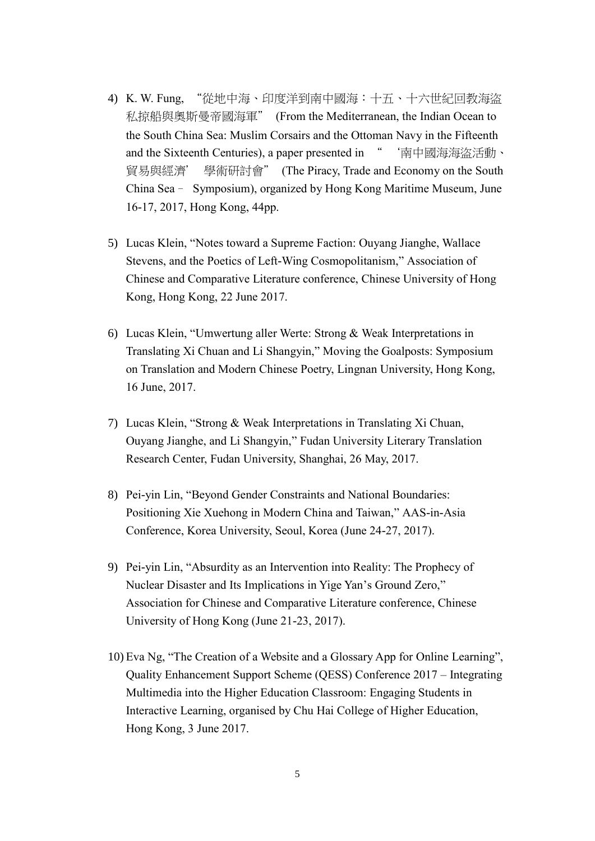- 4) K. W. Fung, "從地中海、印度洋到南中國海:十五、十六世紀回教海盜 私掠船與奧斯曼帝國海軍" (From the Mediterranean, the Indian Ocean to the South China Sea: Muslim Corsairs and the Ottoman Navy in the Fifteenth and the Sixteenth Centuries), a paper presented in " 南中國海海盜活動、 貿易與經濟' 學術研討會" (The Piracy, Trade and Economy on the South China Sea– Symposium), organized by Hong Kong Maritime Museum, June 16-17, 2017, Hong Kong, 44pp.
- 5) Lucas Klein, "Notes toward a Supreme Faction: Ouyang Jianghe, Wallace Stevens, and the Poetics of Left-Wing Cosmopolitanism," Association of Chinese and Comparative Literature conference, Chinese University of Hong Kong, Hong Kong, 22 June 2017.
- 6) Lucas Klein, "Umwertung aller Werte: Strong & Weak Interpretations in Translating Xi Chuan and Li Shangyin," Moving the Goalposts: Symposium on Translation and Modern Chinese Poetry, Lingnan University, Hong Kong, 16 June, 2017.
- 7) Lucas Klein, "Strong & Weak Interpretations in Translating Xi Chuan, Ouyang Jianghe, and Li Shangyin," Fudan University Literary Translation Research Center, Fudan University, Shanghai, 26 May, 2017.
- 8) Pei-yin Lin, "Beyond Gender Constraints and National Boundaries: Positioning Xie Xuehong in Modern China and Taiwan," AAS-in-Asia Conference, Korea University, Seoul, Korea (June 24-27, 2017).
- 9) Pei-yin Lin, "Absurdity as an Intervention into Reality: The Prophecy of Nuclear Disaster and Its Implications in Yige Yan's Ground Zero," Association for Chinese and Comparative Literature conference, Chinese University of Hong Kong (June 21-23, 2017).
- 10) Eva Ng, "The Creation of a Website and a Glossary App for Online Learning", Quality Enhancement Support Scheme (QESS) Conference 2017 – Integrating Multimedia into the Higher Education Classroom: Engaging Students in Interactive Learning, organised by Chu Hai College of Higher Education, Hong Kong, 3 June 2017.